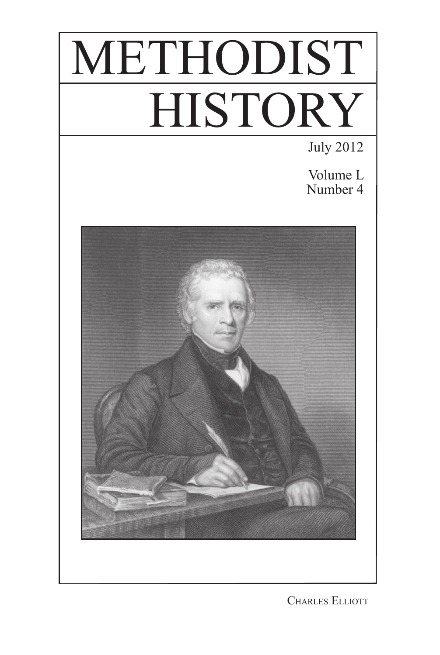# METHODIST **HISTORY**

July 2012

Volume L Number 4



Charles Elliott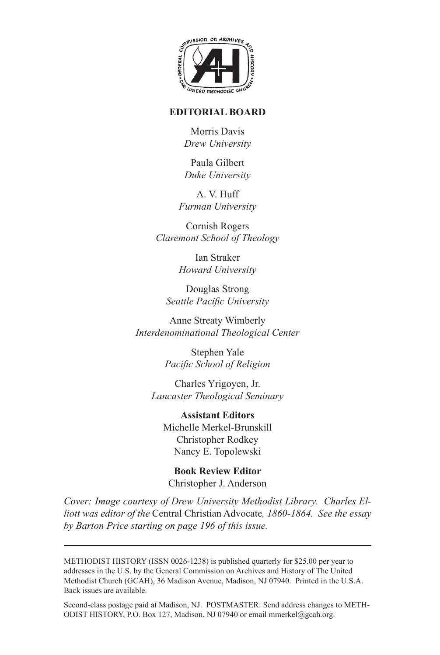

## **EDITORIAL BOARD**

Morris Davis *Drew University*

Paula Gilbert *Duke University*

A. V. Huff *Furman University*

Cornish Rogers *Claremont School of Theology*

> Ian Straker *Howard University*

Douglas Strong *Seattle Pacific University*

Anne Streaty Wimberly *Interdenominational Theological Center*

> Stephen Yale *Pacific School of Religion*

Charles Yrigoyen, Jr. *Lancaster Theological Seminary*

**Assistant Editors** Michelle Merkel-Brunskill Christopher Rodkey Nancy E. Topolewski

**Book Review Editor** Christopher J. Anderson

*Cover: Image courtesy of Drew University Methodist Library. Charles Elliott was editor of the* Central Christian Advocate*, 1860-1864. See the essay by Barton Price starting on page 196 of this issue.*

METHODIST HISTORY (ISSN 0026-1238) is published quarterly for \$25.00 per year to addresses in the U.S. by the General Commission on Archives and History of The United Methodist Church (GCAH), 36 Madison Avenue, Madison, NJ 07940. Printed in the U.S.A. Back issues are available.

Second-class postage paid at Madison, NJ. POSTMASTER: Send address changes to METH-ODIST HISTORY, P.O. Box 127, Madison, NJ 07940 or email mmerkel@gcah.org.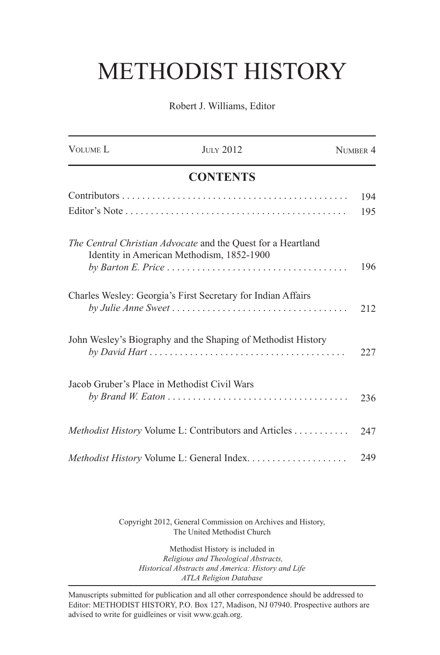## METHODIST HISTORY

Robert J. Williams, Editor

| VOLUME <sub>L</sub> | <b>ЛИГУ 2012</b>                                                                                          | NUMBER 4 |
|---------------------|-----------------------------------------------------------------------------------------------------------|----------|
|                     | <b>CONTENTS</b>                                                                                           |          |
|                     |                                                                                                           | 194      |
|                     |                                                                                                           | 195      |
|                     | The Central Christian Advocate and the Quest for a Heartland<br>Identity in American Methodism, 1852-1900 |          |
|                     |                                                                                                           | 196      |
|                     | Charles Wesley: Georgia's First Secretary for Indian Affairs                                              | 212      |
|                     | John Wesley's Biography and the Shaping of Methodist History                                              | 227      |
|                     | Jacob Gruber's Place in Methodist Civil Wars                                                              |          |
|                     |                                                                                                           | 236      |
|                     | Methodist History Volume L: Contributors and Articles                                                     | 247      |
|                     |                                                                                                           | 249      |

Copyright 2012, General Commission on Archives and History, The United Methodist Church

Methodist History is included in  *Religious and Theological Abstracts, Historical Abstracts and America: History and Life ATLA Religion Database*

Manuscripts submitted for publication and all other correspondence should be addressed to Editor: METHODIST HISTORY, P.O. Box 127, Madison, NJ 07940. Prospective authors are advised to write for guidleines or visit www.gcah.org.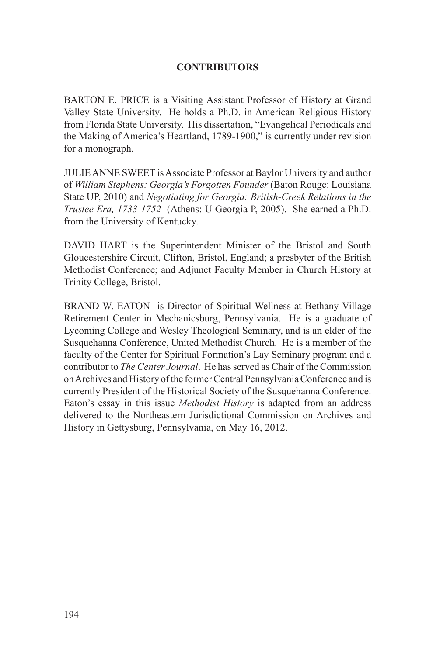## **CONTRIBUTORS**

BARTON E. PRICE is a Visiting Assistant Professor of History at Grand Valley State University. He holds a Ph.D. in American Religious History from Florida State University. His dissertation, "Evangelical Periodicals and the Making of America's Heartland, 1789-1900," is currently under revision for a monograph.

JULIE ANNE SWEET is Associate Professor at Baylor University and author of *William Stephens: Georgia's Forgotten Founder* (Baton Rouge: Louisiana State UP, 2010) and *Negotiating for Georgia: British-Creek Relations in the Trustee Era, 1733-1752* (Athens: U Georgia P, 2005). She earned a Ph.D. from the University of Kentucky.

DAVID HART is the Superintendent Minister of the Bristol and South Gloucestershire Circuit, Clifton, Bristol, England; a presbyter of the British Methodist Conference; and Adjunct Faculty Member in Church History at Trinity College, Bristol.

BRAND W. EATON is Director of Spiritual Wellness at Bethany Village Retirement Center in Mechanicsburg, Pennsylvania. He is a graduate of Lycoming College and Wesley Theological Seminary, and is an elder of the Susquehanna Conference, United Methodist Church. He is a member of the faculty of the Center for Spiritual Formation's Lay Seminary program and a contributor to *The Center Journal*. He has served as Chair of the Commission on Archives and History of the former Central Pennsylvania Conference and is currently President of the Historical Society of the Susquehanna Conference. Eaton's essay in this issue *Methodist History* is adapted from an address delivered to the Northeastern Jurisdictional Commission on Archives and History in Gettysburg, Pennsylvania, on May 16, 2012.